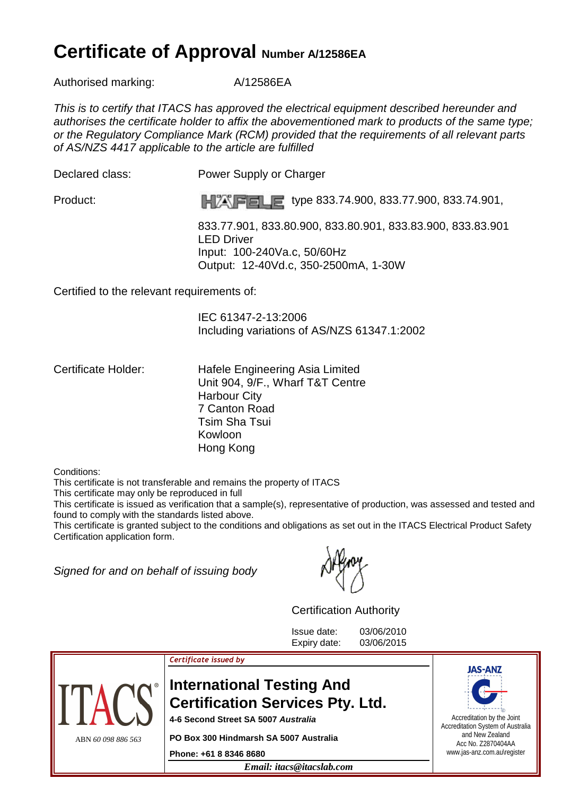## **Certificate of Approval Number A/12586EA**

Authorised marking: <br>A/12586EA

This is to certify that ITACS has approved the electrical equipment described hereunder and authorises the certificate holder to affix the abovementioned mark to products of the same type; or the Regulatory Compliance Mark (RCM) provided that the requirements of all relevant parts of AS/NZS 4417 applicable to the article are fulfilled

Declared class: Power Supply or Charger

Product: **The Report of the State of the State of the S33.74.900, 833.74.901,** Product:

 833.77.901, 833.80.900, 833.80.901, 833.83.900, 833.83.901 LED Driver Input: 100-240Va.c, 50/60Hz Output: 12-40Vd.c, 350-2500mA, 1-30W

Certified to the relevant requirements of:

 IEC 61347-2-13:2006 Including variations of AS/NZS 61347.1:2002

Certificate Holder: Hafele Engineering Asia Limited Unit 904, 9/F., Wharf T&T Centre Harbour City 7 Canton Road Tsim Sha Tsui Kowloon Hong Kong

Conditions:

This certificate is not transferable and remains the property of ITACS

This certificate may only be reproduced in full

This certificate is issued as verification that a sample(s), representative of production, was assessed and tested and found to comply with the standards listed above.

This certificate is granted subject to the conditions and obligations as set out in the ITACS Electrical Product Safety Certification application form.

Signed for and on behalf of issuing body

Certification Authority

Issue date: 03/06/2010 Expiry date: 03/06/2015



## Certificate issued by

## **International Testing And Certification Services Pty. Ltd.**

**4-6 Second Street SA 5007 Australia** 

**PO Box 300 Hindmarsh SA 5007 Australia** 

**Phone: +61 8 8346 8680**

*Email: itacs@itacslab.com*



Accreditation by the Joint Accreditation System of Australia and New Zealand Acc No. Z2870404AA www.jas-anz.com.au\register